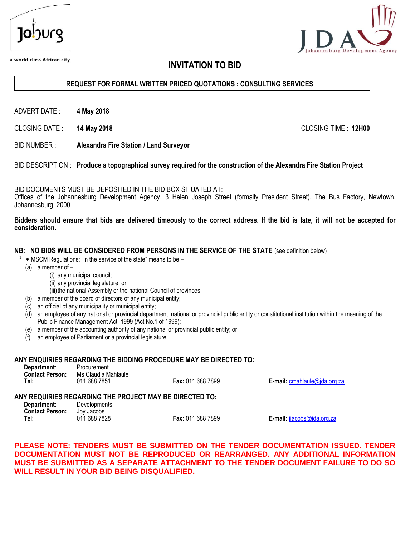

a world class African city



# **INVITATION TO BID**

## **REQUEST FOR FORMAL WRITTEN PRICED QUOTATIONS : CONSULTING SERVICES**

ADVERT DATE : **4 May 2018**

CLOSING DATE : **14 May 2018** CLOSING TIME : **12H00**

BID NUMBER : **Alexandra Fire Station / Land Surveyor**

BID DESCRIPTION : **Produce a topographical survey required for the construction of the Alexandra Fire Station Project**

BID DOCUMENTS MUST BE DEPOSITED IN THE BID BOX SITUATED AT:

Offices of the Johannesburg Development Agency, 3 Helen Joseph Street (formally President Street), The Bus Factory, Newtown, Johannesburg, 2000

#### **Bidders should ensure that bids are delivered timeously to the correct address. If the bid is late, it will not be accepted for consideration.**

#### **NB: NO BIDS WILL BE CONSIDERED FROM PERSONS IN THE SERVICE OF THE STATE** (see definition below)

- $1$   $*$  MSCM Regulations: "in the service of the state" means to be  $-$ 
	- (a) a member of
		- (i) any municipal council;
		- (ii) any provincial legislature; or

(iii) the national Assembly or the national Council of provinces;

- (b) a member of the board of directors of any municipal entity;
- (c) an official of any municipality or municipal entity;
- (d) an employee of any national or provincial department, national or provincial public entity or constitutional institution within the meaning of the Public Finance Management Act, 1999 (Act No.1 of 1999);
- (e) a member of the accounting authority of any national or provincial public entity; or
- (f) an employee of Parliament or a provincial legislature.

#### **ANY ENQUIRIES REGARDING THE BIDDING PROCEDURE MAY BE DIRECTED TO:**

| Department:            | Procurement         |                          |                                       |
|------------------------|---------------------|--------------------------|---------------------------------------|
| <b>Contact Person:</b> | Ms Claudia Mahlaule |                          |                                       |
| Tel:                   | 011 688 7851        | <b>Fax: 011 688 7899</b> | <b>E-mail:</b> $cmahlaule@jda.org.za$ |

#### **ANY REQUIRIES REGARDING THE PROJECT MAY BE DIRECTED TO:**

| Department:<br><b>Contact Person:</b> | Developments<br>Jov Jacobs |                   |
|---------------------------------------|----------------------------|-------------------|
| Tel:                                  | 011 688 7828               | Fax: 011 688 7899 |

**E-mail: ijacobs@ida.org.za** 

## **PLEASE NOTE: TENDERS MUST BE SUBMITTED ON THE TENDER DOCUMENTATION ISSUED. TENDER DOCUMENTATION MUST NOT BE REPRODUCED OR REARRANGED. ANY ADDITIONAL INFORMATION MUST BE SUBMITTED AS A SEPARATE ATTACHMENT TO THE TENDER DOCUMENT FAILURE TO DO SO WILL RESULT IN YOUR BID BEING DISQUALIFIED.**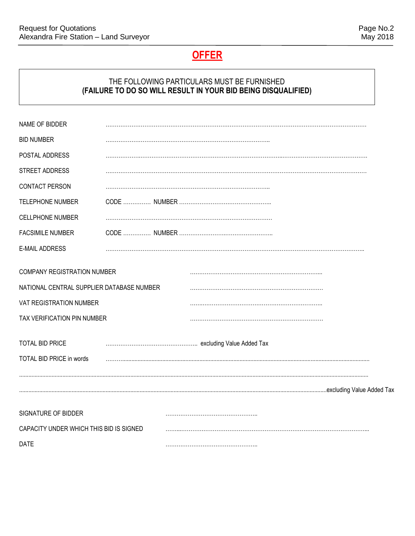# **OFFER**

# THE FOLLOWING PARTICULARS MUST BE FURNISHED **(FAILURE TO DO SO WILL RESULT IN YOUR BID BEING DISQUALIFIED)**

| NAME OF BIDDER                            |  |
|-------------------------------------------|--|
| <b>BID NUMBER</b>                         |  |
| POSTAL ADDRESS                            |  |
| STREET ADDRESS                            |  |
| <b>CONTACT PERSON</b>                     |  |
| <b>TELEPHONE NUMBER</b>                   |  |
| <b>CELLPHONE NUMBER</b>                   |  |
| <b>FACSIMILE NUMBER</b>                   |  |
| <b>E-MAIL ADDRESS</b>                     |  |
| COMPANY REGISTRATION NUMBER               |  |
| NATIONAL CENTRAL SUPPLIER DATABASE NUMBER |  |
| VAT REGISTRATION NUMBER                   |  |
| TAX VERIFICATION PIN NUMBER               |  |
| <b>TOTAL BID PRICE</b>                    |  |
| TOTAL BID PRICE in words                  |  |
|                                           |  |
|                                           |  |
| SIGNATURE OF BIDDER                       |  |
| CAPACITY UNDER WHICH THIS BID IS SIGNED   |  |
| <b>DATE</b>                               |  |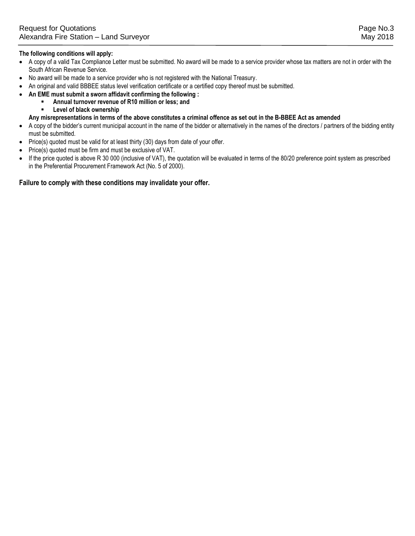#### **The following conditions will apply:**

- A copy of a valid Tax Compliance Letter must be submitted. No award will be made to a service provider whose tax matters are not in order with the South African Revenue Service.
- No award will be made to a service provider who is not registered with the National Treasury.
- An original and valid BBBEE status level verification certificate or a certified copy thereof must be submitted.
- **An EME must submit a sworn affidavit confirming the following :** 
	- **Annual turnover revenue of R10 million or less; and**
		- **Level of black ownership**

**Any misrepresentations in terms of the above constitutes a criminal offence as set out in the B-BBEE Act as amended**

- A copy of the bidder's current municipal account in the name of the bidder or alternatively in the names of the directors / partners of the bidding entity must be submitted.
- Price(s) quoted must be valid for at least thirty (30) days from date of your offer.
- Price(s) quoted must be firm and must be exclusive of VAT.
- If the price quoted is above R 30 000 (inclusive of VAT), the quotation will be evaluated in terms of the 80/20 preference point system as prescribed in the Preferential Procurement Framework Act (No. 5 of 2000).

#### **Failure to comply with these conditions may invalidate your offer.**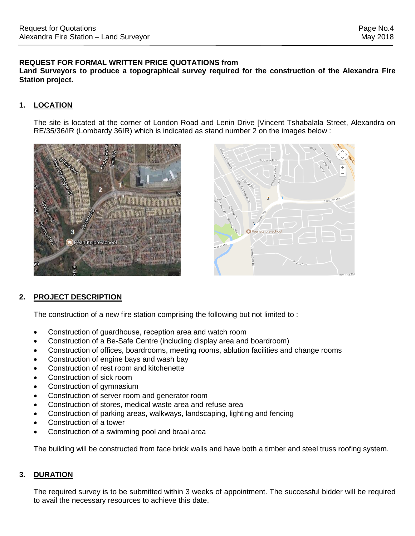# **REQUEST FOR FORMAL WRITTEN PRICE QUOTATIONS from**

**Land Surveyors to produce a topographical survey required for the construction of the Alexandra Fire Station project.**

# **1. LOCATION**

The site is located at the corner of London Road and Lenin Drive [Vincent Tshabalala Street, Alexandra on RE/35/36/IR (Lombardy 36IR) which is indicated as stand number 2 on the images below :





# **2. PROJECT DESCRIPTION**

The construction of a new fire station comprising the following but not limited to :

- Construction of guardhouse, reception area and watch room
- Construction of a Be-Safe Centre (including display area and boardroom)
- Construction of offices, boardrooms, meeting rooms, ablution facilities and change rooms
- Construction of engine bays and wash bay
- Construction of rest room and kitchenette
- Construction of sick room
- Construction of gymnasium
- Construction of server room and generator room
- Construction of stores, medical waste area and refuse area
- Construction of parking areas, walkways, landscaping, lighting and fencing
- Construction of a tower
- Construction of a swimming pool and braai area

The building will be constructed from face brick walls and have both a timber and steel truss roofing system.

# **3. DURATION**

The required survey is to be submitted within 3 weeks of appointment. The successful bidder will be required to avail the necessary resources to achieve this date.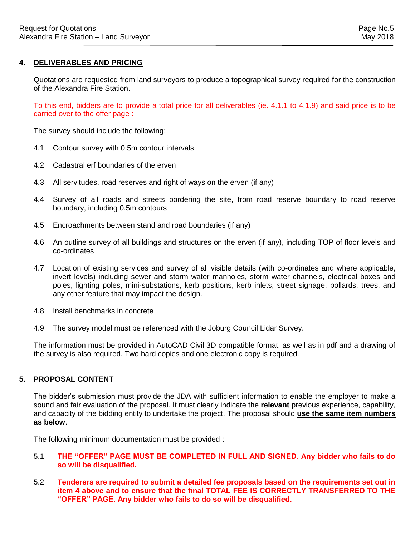## **4. DELIVERABLES AND PRICING**

Quotations are requested from land surveyors to produce a topographical survey required for the construction of the Alexandra Fire Station.

To this end, bidders are to provide a total price for all deliverables (ie. 4.1.1 to 4.1.9) and said price is to be carried over to the offer page :

The survey should include the following:

- 4.1 Contour survey with 0.5m contour intervals
- 4.2 Cadastral erf boundaries of the erven
- 4.3 All servitudes, road reserves and right of ways on the erven (if any)
- 4.4 Survey of all roads and streets bordering the site, from road reserve boundary to road reserve boundary, including 0.5m contours
- 4.5 Encroachments between stand and road boundaries (if any)
- 4.6 An outline survey of all buildings and structures on the erven (if any), including TOP of floor levels and co-ordinates
- 4.7 Location of existing services and survey of all visible details (with co-ordinates and where applicable, invert levels) including sewer and storm water manholes, storm water channels, electrical boxes and poles, lighting poles, mini-substations, kerb positions, kerb inlets, street signage, bollards, trees, and any other feature that may impact the design.
- 4.8 Install benchmarks in concrete
- 4.9 The survey model must be referenced with the Joburg Council Lidar Survey.

The information must be provided in AutoCAD Civil 3D compatible format, as well as in pdf and a drawing of the survey is also required. Two hard copies and one electronic copy is required.

#### **5. PROPOSAL CONTENT**

The bidder's submission must provide the JDA with sufficient information to enable the employer to make a sound and fair evaluation of the proposal. It must clearly indicate the **relevant** previous experience, capability, and capacity of the bidding entity to undertake the project. The proposal should **use the same item numbers as below**.

The following minimum documentation must be provided :

- 5.1 **THE "OFFER" PAGE MUST BE COMPLETED IN FULL AND SIGNED**. **Any bidder who fails to do so will be disqualified.**
- 5.2 **Tenderers are required to submit a detailed fee proposals based on the requirements set out in item 4 above and to ensure that the final TOTAL FEE IS CORRECTLY TRANSFERRED TO THE "OFFER" PAGE. Any bidder who fails to do so will be disqualified.**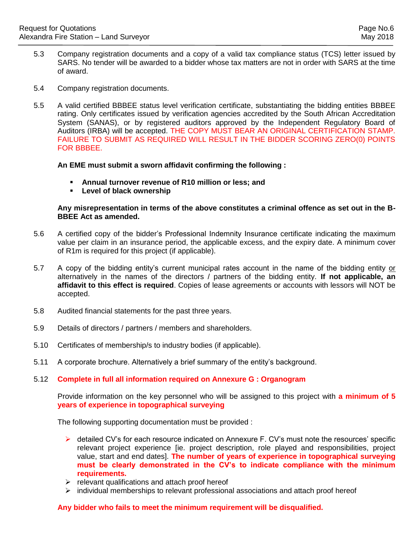- 5.3 Company registration documents and a copy of a valid tax compliance status (TCS) letter issued by SARS. No tender will be awarded to a bidder whose tax matters are not in order with SARS at the time of award.
- 5.4 Company registration documents.
- 5.5 A valid certified BBBEE status level verification certificate, substantiating the bidding entities BBBEE rating. Only certificates issued by verification agencies accredited by the South African Accreditation System (SANAS), or by registered auditors approved by the Independent Regulatory Board of Auditors (IRBA) will be accepted. THE COPY MUST BEAR AN ORIGINAL CERTIFICATION STAMP. FAILURE TO SUBMIT AS REQUIRED WILL RESULT IN THE BIDDER SCORING ZERO(0) POINTS FOR BBBEE.

#### **An EME must submit a sworn affidavit confirming the following :**

- **Annual turnover revenue of R10 million or less; and**
- **Level of black ownership**

## **Any misrepresentation in terms of the above constitutes a criminal offence as set out in the B-BBEE Act as amended.**

- 5.6 A certified copy of the bidder's Professional Indemnity Insurance certificate indicating the maximum value per claim in an insurance period, the applicable excess, and the expiry date. A minimum cover of R1m is required for this project (if applicable).
- 5.7 A copy of the bidding entity's current municipal rates account in the name of the bidding entity or alternatively in the names of the directors / partners of the bidding entity. **If not applicable, an affidavit to this effect is required**. Copies of lease agreements or accounts with lessors will NOT be accepted.
- 5.8 Audited financial statements for the past three years.
- 5.9 Details of directors / partners / members and shareholders.
- 5.10 Certificates of membership/s to industry bodies (if applicable).
- 5.11 A corporate brochure. Alternatively a brief summary of the entity's background.

#### 5.12 **Complete in full all information required on Annexure G : Organogram**

Provide information on the key personnel who will be assigned to this project with **a minimum of 5 years of experience in topographical surveying**

The following supporting documentation must be provided :

- $\triangleright$  detailed CV's for each resource indicated on Annexure F. CV's must note the resources' specific relevant project experience [ie. project description, role played and responsibilities, project value, start and end dates]. **The number of years of experience in topographical surveying must be clearly demonstrated in the CV's to indicate compliance with the minimum requirements.**
- $\triangleright$  relevant qualifications and attach proof hereof
- $\triangleright$  individual memberships to relevant professional associations and attach proof hereof

#### **Any bidder who fails to meet the minimum requirement will be disqualified.**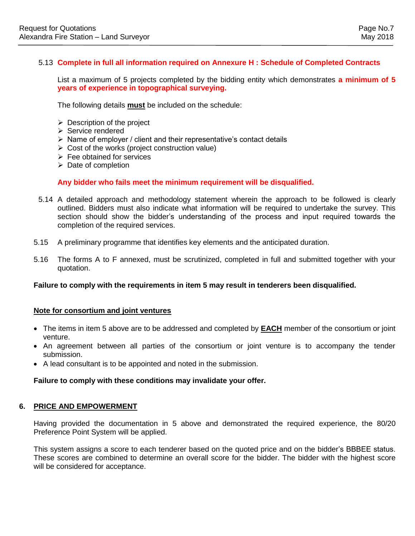## 5.13 **Complete in full all information required on Annexure H : Schedule of Completed Contracts**

List a maximum of 5 projects completed by the bidding entity which demonstrates **a minimum of 5 years of experience in topographical surveying.**

The following details **must** be included on the schedule:

- $\triangleright$  Description of the project
- $\triangleright$  Service rendered
- $\triangleright$  Name of employer / client and their representative's contact details
- $\triangleright$  Cost of the works (project construction value)
- $\triangleright$  Fee obtained for services
- $\triangleright$  Date of completion

## **Any bidder who fails meet the minimum requirement will be disqualified.**

- 5.14 A detailed approach and methodology statement wherein the approach to be followed is clearly outlined. Bidders must also indicate what information will be required to undertake the survey. This section should show the bidder's understanding of the process and input required towards the completion of the required services.
- 5.15 A preliminary programme that identifies key elements and the anticipated duration.
- 5.16 The forms A to F annexed, must be scrutinized, completed in full and submitted together with your quotation.

#### **Failure to comply with the requirements in item 5 may result in tenderers been disqualified.**

#### **Note for consortium and joint ventures**

- The items in item 5 above are to be addressed and completed by **EACH** member of the consortium or joint venture.
- An agreement between all parties of the consortium or joint venture is to accompany the tender submission.
- A lead consultant is to be appointed and noted in the submission.

#### **Failure to comply with these conditions may invalidate your offer.**

#### **6. PRICE AND EMPOWERMENT**

Having provided the documentation in 5 above and demonstrated the required experience, the 80/20 Preference Point System will be applied.

This system assigns a score to each tenderer based on the quoted price and on the bidder's BBBEE status. These scores are combined to determine an overall score for the bidder. The bidder with the highest score will be considered for acceptance.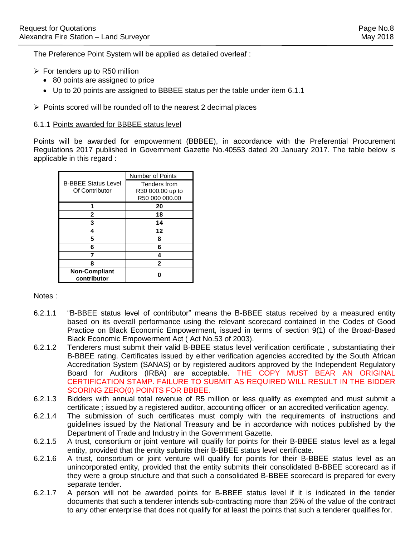The Preference Point System will be applied as detailed overleaf :

- $\triangleright$  For tenders up to R50 million
	- 80 points are assigned to price
	- Up to 20 points are assigned to BBBEE status per the table under item 6.1.1
- $\triangleright$  Points scored will be rounded off to the nearest 2 decimal places

#### 6.1.1 Points awarded for BBBEE status level

Points will be awarded for empowerment (BBBEE), in accordance with the Preferential Procurement Regulations 2017 published in Government Gazette No.40553 dated 20 January 2017. The table below is applicable in this regard :

|                                              | <b>Number of Points</b>            |
|----------------------------------------------|------------------------------------|
| <b>B-BBEE Status Level</b><br>Of Contributor | Tenders from                       |
|                                              | R30 000.00 up to<br>R50 000 000.00 |
|                                              | 20                                 |
| 2                                            | 18                                 |
| 3                                            | 14                                 |
| Δ                                            | 12                                 |
| 5                                            | 8                                  |
| 6                                            | 6                                  |
|                                              |                                    |
| 8                                            | $\mathbf{2}$                       |
| <b>Non-Compliant</b><br>contributor          |                                    |

Notes :

- 6.2.1.1 "B-BBEE status level of contributor" means the B-BBEE status received by a measured entity based on its overall performance using the relevant scorecard contained in the Codes of Good Practice on Black Economic Empowerment, issued in terms of section 9(1) of the Broad-Based Black Economic Empowerment Act ( Act No.53 of 2003).
- 6.2.1.2 Tenderers must submit their valid B-BBEE status level verification certificate , substantiating their B-BBEE rating. Certificates issued by either verification agencies accredited by the South African Accreditation System (SANAS) or by registered auditors approved by the Independent Regulatory Board for Auditors (IRBA) are acceptable. THE COPY MUST BEAR AN ORIGINAL CERTIFICATION STAMP. FAILURE TO SUBMIT AS REQUIRED WILL RESULT IN THE BIDDER SCORING ZERO(0) POINTS FOR BBBEE.
- 6.2.1.3 Bidders with annual total revenue of R5 million or less qualify as exempted and must submit a certificate ; issued by a registered auditor, accounting officer or an accredited verification agency.
- 6.2.1.4 The submission of such certificates must comply with the requirements of instructions and guidelines issued by the National Treasury and be in accordance with notices published by the Department of Trade and Industry in the Government Gazette.
- 6.2.1.5 A trust, consortium or joint venture will qualify for points for their B-BBEE status level as a legal entity, provided that the entity submits their B-BBEE status level certificate.
- 6.2.1.6 A trust, consortium or joint venture will qualify for points for their B-BBEE status level as an unincorporated entity, provided that the entity submits their consolidated B-BBEE scorecard as if they were a group structure and that such a consolidated B-BBEE scorecard is prepared for every separate tender.
- 6.2.1.7 A person will not be awarded points for B-BBEE status level if it is indicated in the tender documents that such a tenderer intends sub-contracting more than 25% of the value of the contract to any other enterprise that does not qualify for at least the points that such a tenderer qualifies for.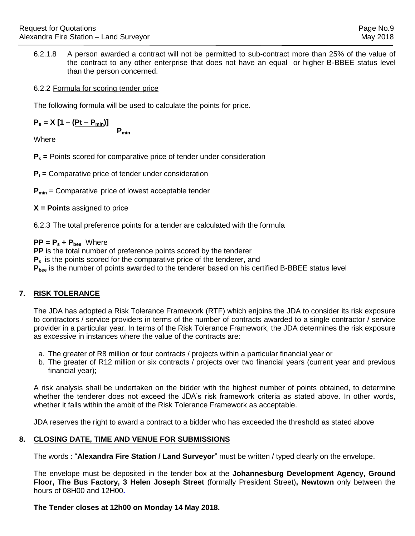6.2.1.8 A person awarded a contract will not be permitted to sub-contract more than 25% of the value of the contract to any other enterprise that does not have an equal or higher B-BBEE status level than the person concerned.

## 6.2.2 Formula for scoring tender price

The following formula will be used to calculate the points for price.

$$
P_s = X [1 - (Pt - P_{min})]
$$
 P<sub>min</sub>

**Where** 

**P<sup>s</sup> =** Points scored for comparative price of tender under consideration

**P<sup>t</sup> =** Comparative price of tender under consideration

**P**<sub>min</sub> = Comparative price of lowest acceptable tender

**X = Points** assigned to price

6.2.3 The total preference points for a tender are calculated with the formula

**PP = P<sup>s</sup> + Pbee** Where

**PP** is the total number of preference points scored by the tenderer

**P<sup>s</sup>** is the points scored for the comparative price of the tenderer, and

P<sub>bee</sub> is the number of points awarded to the tenderer based on his certified B-BBEE status level

# **7. RISK TOLERANCE**

The JDA has adopted a Risk Tolerance Framework (RTF) which enjoins the JDA to consider its risk exposure to contractors / service providers in terms of the number of contracts awarded to a single contractor / service provider in a particular year. In terms of the Risk Tolerance Framework, the JDA determines the risk exposure as excessive in instances where the value of the contracts are:

- a. The greater of R8 million or four contracts / projects within a particular financial year or
- b. The greater of R12 million or six contracts / projects over two financial years (current year and previous financial year);

A risk analysis shall be undertaken on the bidder with the highest number of points obtained, to determine whether the tenderer does not exceed the JDA's risk framework criteria as stated above. In other words, whether it falls within the ambit of the Risk Tolerance Framework as acceptable.

JDA reserves the right to award a contract to a bidder who has exceeded the threshold as stated above

## **8. CLOSING DATE, TIME AND VENUE FOR SUBMISSIONS**

The words : "**Alexandra Fire Station / Land Surveyor**" must be written / typed clearly on the envelope.

The envelope must be deposited in the tender box at the **Johannesburg Development Agency, Ground Floor, The Bus Factory, 3 Helen Joseph Street** (formally President Street)**, Newtown** only between the hours of 08H00 and 12H00**.** 

**The Tender closes at 12h00 on Monday 14 May 2018.**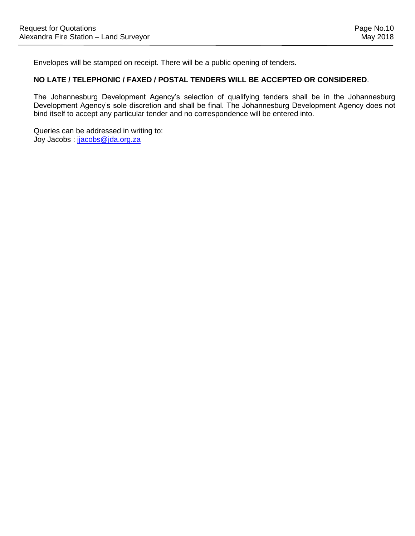Envelopes will be stamped on receipt. There will be a public opening of tenders.

## **NO LATE / TELEPHONIC / FAXED / POSTAL TENDERS WILL BE ACCEPTED OR CONSIDERED**.

The Johannesburg Development Agency's selection of qualifying tenders shall be in the Johannesburg Development Agency's sole discretion and shall be final. The Johannesburg Development Agency does not bind itself to accept any particular tender and no correspondence will be entered into.

Queries can be addressed in writing to: Joy Jacobs : [jjacobs@jda.org.za](mailto:cmahlaule@jda.org.za)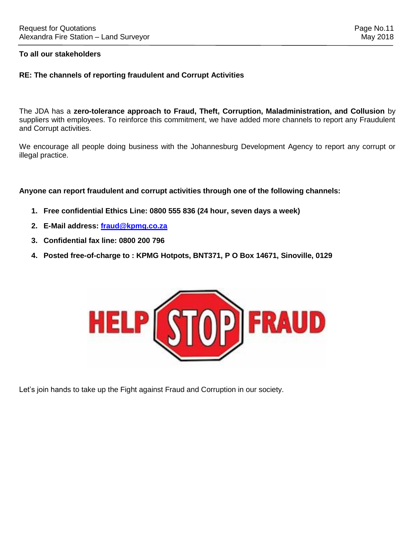## **To all our stakeholders**

## **RE: The channels of reporting fraudulent and Corrupt Activities**

The JDA has a **zero-tolerance approach to Fraud, Theft, Corruption, Maladministration, and Collusion** by suppliers with employees. To reinforce this commitment, we have added more channels to report any Fraudulent and Corrupt activities.

We encourage all people doing business with the Johannesburg Development Agency to report any corrupt or illegal practice.

**Anyone can report fraudulent and corrupt activities through one of the following channels:**

- **1. Free confidential Ethics Line: 0800 555 836 (24 hour, seven days a week)**
- **2. E-Mail address: [fraud@kpmg.co.za](mailto:fraud@kpmg.co.za)**
- **3. Confidential fax line: 0800 200 796**
- **4. Posted free-of-charge to : KPMG Hotpots, BNT371, P O Box 14671, Sinoville, 0129**



Let's join hands to take up the Fight against Fraud and Corruption in our society.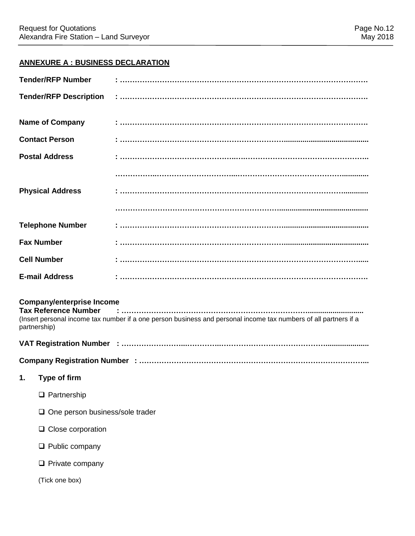# **ANNEXURE A : BUSINESS DECLARATION**

| <b>Tender/RFP Number</b>      | $\begin{array}{l} \begin{array}{l} \begin{array}{l} \begin{array}{l} \end{array} \end{array} \end{array} \end{array} \end{array} \begin{array}{l} \begin{array}{l} \begin{array}{l} \end{array} \end{array} \end{array} \end{array} \end{array} \begin{array}{l} \begin{array}{l} \begin{array}{l} \end{array} \end{array} \end{array} \begin{array}{l} \begin{array}{l} \begin{array}{l} \end{array} \end{array} \end{array} \end{array} \begin{array}{l} \begin{array}{l} \begin{array}{l} \end{array} \end{array} \end{array} \begin{array}{l} \$             |
|-------------------------------|------------------------------------------------------------------------------------------------------------------------------------------------------------------------------------------------------------------------------------------------------------------------------------------------------------------------------------------------------------------------------------------------------------------------------------------------------------------------------------------------------------------------------------------------------------------|
| <b>Tender/RFP Description</b> | $\begin{array}{l} \begin{array}{l} \bullet \end{array} \begin{array}{l} \begin{array}{l} \bullet \end{array} \begin{array}{l} \begin{array}{l} \bullet \end{array} \begin{array}{l} \begin{array}{l} \end{array} \begin{array}{l} \end{array} \begin{array}{l} \end{array} \begin{array}{l} \end{array} \begin{array}{l} \end{array} \begin{array}{l} \end{array} \begin{array}{l} \end{array} \begin{array}{l} \end{array} \begin{array}{l} \end{array} \begin{array}{l} \end{array} \begin{array}{l} \end{array} \begin{array}{l} \end{array} \begin{array}{l$ |
|                               |                                                                                                                                                                                                                                                                                                                                                                                                                                                                                                                                                                  |
| <b>Name of Company</b>        |                                                                                                                                                                                                                                                                                                                                                                                                                                                                                                                                                                  |
| <b>Contact Person</b>         |                                                                                                                                                                                                                                                                                                                                                                                                                                                                                                                                                                  |
| <b>Postal Address</b>         |                                                                                                                                                                                                                                                                                                                                                                                                                                                                                                                                                                  |
|                               |                                                                                                                                                                                                                                                                                                                                                                                                                                                                                                                                                                  |
| <b>Physical Address</b>       |                                                                                                                                                                                                                                                                                                                                                                                                                                                                                                                                                                  |
|                               |                                                                                                                                                                                                                                                                                                                                                                                                                                                                                                                                                                  |
| <b>Telephone Number</b>       |                                                                                                                                                                                                                                                                                                                                                                                                                                                                                                                                                                  |
| <b>Fax Number</b>             |                                                                                                                                                                                                                                                                                                                                                                                                                                                                                                                                                                  |
| <b>Cell Number</b>            |                                                                                                                                                                                                                                                                                                                                                                                                                                                                                                                                                                  |
| <b>E-mail Address</b>         | i<br>1 maanuurin maanuun maanuun maanuun maanuun maanuun maanuun                                                                                                                                                                                                                                                                                                                                                                                                                                                                                                 |

# **Company/enterprise Income**

**Tax Reference Number : …………………………………………………………………...........................** (Insert personal income tax number if a one person business and personal income tax numbers of all partners if a partnership)

## **VAT Registration Number : ……………………...…………..…………………………………….....................**

**Company Registration Number : ………………………………………………………………………………...**

- **1. Type of firm**
	- □ Partnership
	- $\Box$  One person business/sole trader
	- **□** Close corporation
	- **Q** Public company
	- $\Box$  Private company

(Tick one box)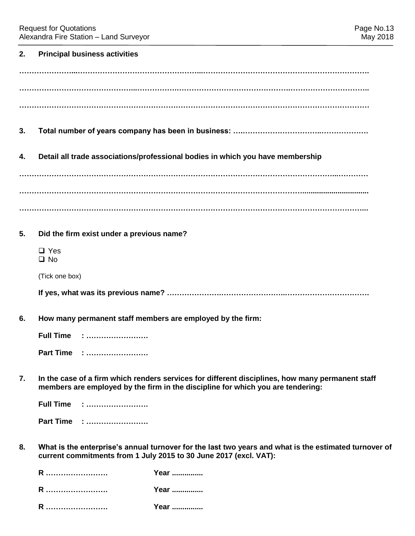| 2. | <b>Principal business activities</b>      |                                                                                                                                                                                     |
|----|-------------------------------------------|-------------------------------------------------------------------------------------------------------------------------------------------------------------------------------------|
|    |                                           |                                                                                                                                                                                     |
|    |                                           |                                                                                                                                                                                     |
|    |                                           |                                                                                                                                                                                     |
| 3. |                                           |                                                                                                                                                                                     |
| 4. |                                           | Detail all trade associations/professional bodies in which you have membership                                                                                                      |
|    |                                           |                                                                                                                                                                                     |
|    |                                           |                                                                                                                                                                                     |
|    |                                           |                                                                                                                                                                                     |
| 5. | Did the firm exist under a previous name? |                                                                                                                                                                                     |
|    | $\Box$ Yes<br>$\square$ No                |                                                                                                                                                                                     |
|    | (Tick one box)                            |                                                                                                                                                                                     |
|    |                                           |                                                                                                                                                                                     |
| 6. |                                           | How many permanent staff members are employed by the firm:                                                                                                                          |
|    | Full Time :                               |                                                                                                                                                                                     |
|    | Part Time :                               |                                                                                                                                                                                     |
| 7. |                                           | In the case of a firm which renders services for different disciplines, how many permanent staff<br>members are employed by the firm in the discipline for which you are tendering: |
|    | <b>Full Time : </b>                       |                                                                                                                                                                                     |
|    | Part Time :                               |                                                                                                                                                                                     |
| 8. |                                           | What is the enterprise's annual turnover for the last two years and what is the estimated turnover of<br>current commitments from 1 July 2015 to 30 June 2017 (excl. VAT):          |
|    | R                                         | Year                                                                                                                                                                                |
|    | R                                         | Year                                                                                                                                                                                |
|    | R                                         | Year                                                                                                                                                                                |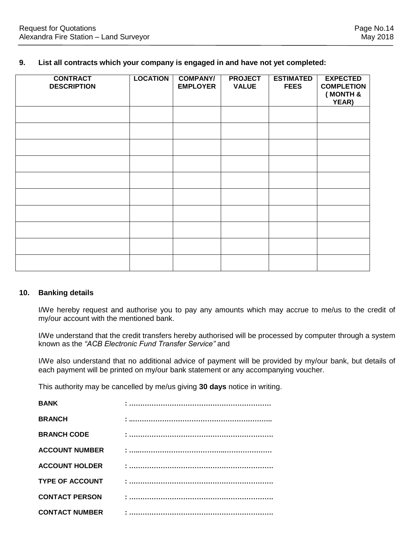### **9. List all contracts which your company is engaged in and have not yet completed:**

| <b>CONTRACT</b><br><b>DESCRIPTION</b> | <b>LOCATION</b> | <b>COMPANY/</b><br><b>EMPLOYER</b> | <b>PROJECT</b><br><b>VALUE</b> | <b>ESTIMATED</b><br><b>FEES</b> | <b>EXPECTED</b><br><b>COMPLETION</b><br>(MONTH &<br>YEAR) |
|---------------------------------------|-----------------|------------------------------------|--------------------------------|---------------------------------|-----------------------------------------------------------|
|                                       |                 |                                    |                                |                                 |                                                           |
|                                       |                 |                                    |                                |                                 |                                                           |
|                                       |                 |                                    |                                |                                 |                                                           |
|                                       |                 |                                    |                                |                                 |                                                           |
|                                       |                 |                                    |                                |                                 |                                                           |
|                                       |                 |                                    |                                |                                 |                                                           |
|                                       |                 |                                    |                                |                                 |                                                           |
|                                       |                 |                                    |                                |                                 |                                                           |
|                                       |                 |                                    |                                |                                 |                                                           |
|                                       |                 |                                    |                                |                                 |                                                           |

## **10. Banking details**

I/We hereby request and authorise you to pay any amounts which may accrue to me/us to the credit of my/our account with the mentioned bank.

I/We understand that the credit transfers hereby authorised will be processed by computer through a system known as the *"ACB Electronic Fund Transfer Service"* and

I/We also understand that no additional advice of payment will be provided by my/our bank, but details of each payment will be printed on my/our bank statement or any accompanying voucher.

This authority may be cancelled by me/us giving **30 days** notice in writing.

| <b>BANK</b>            |  |
|------------------------|--|
| <b>BRANCH</b>          |  |
| <b>BRANCH CODE</b>     |  |
| <b>ACCOUNT NUMBER</b>  |  |
| <b>ACCOUNT HOLDER</b>  |  |
| <b>TYPE OF ACCOUNT</b> |  |
| <b>CONTACT PERSON</b>  |  |
| <b>CONTACT NUMBER</b>  |  |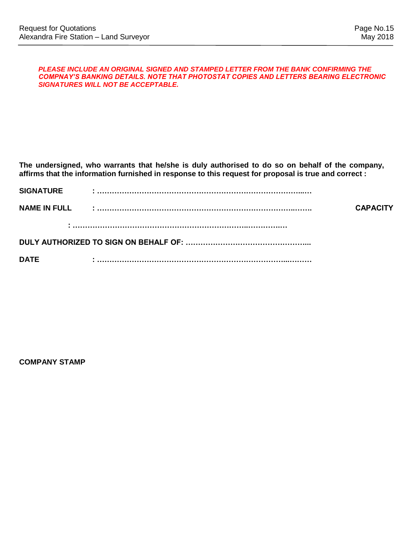#### *PLEASE INCLUDE AN ORIGINAL SIGNED AND STAMPED LETTER FROM THE BANK CONFIRMING THE COMPNAY'S BANKING DETAILS. NOTE THAT PHOTOSTAT COPIES AND LETTERS BEARING ELECTRONIC SIGNATURES WILL NOT BE ACCEPTABLE.*

**The undersigned, who warrants that he/she is duly authorised to do so on behalf of the company, affirms that the information furnished in response to this request for proposal is true and correct :**

| <b>SIGNATURE</b>    |                 |
|---------------------|-----------------|
| <b>NAME IN FULL</b> | <b>CAPACITY</b> |
|                     |                 |
|                     |                 |
| <b>DATE</b>         |                 |

**COMPANY STAMP**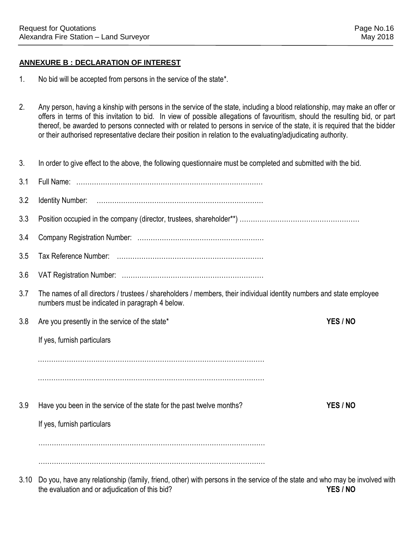# **ANNEXURE B : DECLARATION OF INTEREST**

- 1. No bid will be accepted from persons in the service of the state\*.
- 2. Any person, having a kinship with persons in the service of the state, including a blood relationship, may make an offer or offers in terms of this invitation to bid. In view of possible allegations of favouritism, should the resulting bid, or part thereof, be awarded to persons connected with or related to persons in service of the state, it is required that the bidder or their authorised representative declare their position in relation to the evaluating/adjudicating authority.
- 3. In order to give effect to the above, the following questionnaire must be completed and submitted with the bid.

| 3.1 |                                                                                                                                                                         |          |
|-----|-------------------------------------------------------------------------------------------------------------------------------------------------------------------------|----------|
| 3.2 |                                                                                                                                                                         |          |
| 3.3 |                                                                                                                                                                         |          |
| 3.4 |                                                                                                                                                                         |          |
| 3.5 |                                                                                                                                                                         |          |
| 3.6 |                                                                                                                                                                         |          |
| 3.7 | The names of all directors / trustees / shareholders / members, their individual identity numbers and state employee<br>numbers must be indicated in paragraph 4 below. |          |
| 3.8 | Are you presently in the service of the state*                                                                                                                          | YES / NO |
|     | If yes, furnish particulars                                                                                                                                             |          |
|     |                                                                                                                                                                         |          |
|     |                                                                                                                                                                         |          |
| 3.9 | Have you been in the service of the state for the past twelve months?                                                                                                   | YES / NO |
|     | If yes, furnish particulars                                                                                                                                             |          |
|     |                                                                                                                                                                         |          |
|     |                                                                                                                                                                         |          |
|     | De veu heve envedetienekin (femily friend, ether) with nerease in the earnies of the chate and who meu he invelved                                                      |          |

3.10 Do you, have any relationship (family, friend, other) with persons in the service of the state and who may be involved with the evaluation and or adjudication of this bid? **YES / NO**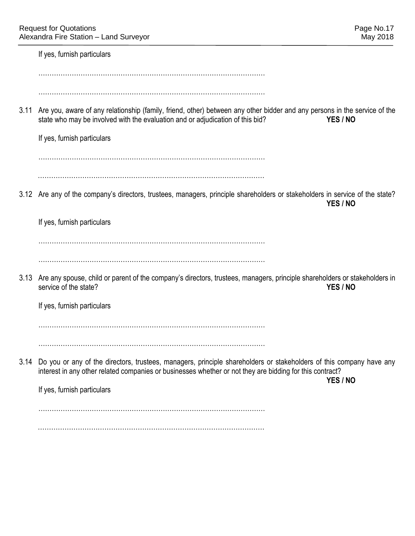If yes, furnish particulars

…………………………………………………………………………………………

…………………………………………………………………………………………

3.11 Are you, aware of any relationship (family, friend, other) between any other bidder and any persons in the service of the state who may be involved with the evaluation and or adjudication of this bid? **YES / NO** 

If yes, furnish particulars

………………………………………………………………………………………… …………………………………………………………………………………………

3.12 Are any of the company's directors, trustees, managers, principle shareholders or stakeholders in service of the state? **YES / NO**

If yes, furnish particulars

…………………………………………………………………………………………

…………………………………………………………………………………………

3.13 Are any spouse, child or parent of the company's directors, trustees, managers, principle shareholders or stakeholders in service of the state? **YES / NO**

If yes, furnish particulars

…………………………………………………………………………………………

…………………………………………………………………………………………

3.14 Do you or any of the directors, trustees, managers, principle shareholders or stakeholders of this company have any interest in any other related companies or businesses whether or not they are bidding for this contract?

**YES / NO**

If yes, furnish particulars

…………………………………………………………………………………………

…………………………………………………………………………………………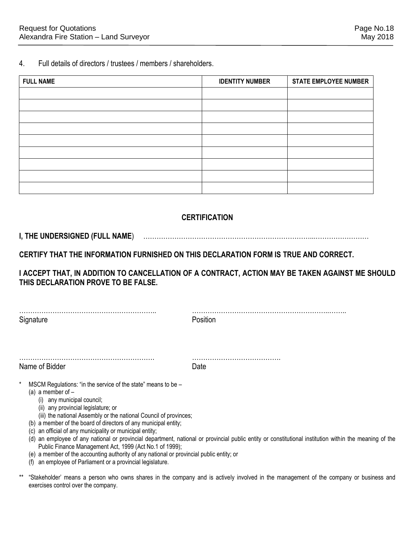4. Full details of directors / trustees / members / shareholders.

| <b>FULL NAME</b> | <b>IDENTITY NUMBER</b> | <b>STATE EMPLOYEE NUMBER</b> |
|------------------|------------------------|------------------------------|
|                  |                        |                              |
|                  |                        |                              |
|                  |                        |                              |
|                  |                        |                              |
|                  |                        |                              |
|                  |                        |                              |
|                  |                        |                              |
|                  |                        |                              |
|                  |                        |                              |

# **CERTIFICATION**

## **I, THE UNDERSIGNED (FULL NAME**) …………………………………………………………………...……………………

**CERTIFY THAT THE INFORMATION FURNISHED ON THIS DECLARATION FORM IS TRUE AND CORRECT.** 

**I ACCEPT THAT, IN ADDITION TO CANCELLATION OF A CONTRACT, ACTION MAY BE TAKEN AGAINST ME SHOULD THIS DECLARATION PROVE TO BE FALSE.** 

…………………………………………………….. ……………………………………………………..…….. Signature **Position** 

……………………………………………………. ………………………………….

Name of Bidder **Date** 

- MSCM Regulations: "in the service of the state" means to be  $-$ 
	- (a) a member of  $-$ 
		- (i) any municipal council;
		- (ii) any provincial legislature; or
		- (iii) the national Assembly or the national Council of provinces;
	- (b) a member of the board of directors of any municipal entity;
	- (c) an official of any municipality or municipal entity;
	- (d) an employee of any national or provincial department, national or provincial public entity or constitutional institution within the meaning of the Public Finance Management Act, 1999 (Act No.1 of 1999);
	- (e) a member of the accounting authority of any national or provincial public entity; or
	- (f) an employee of Parliament or a provincial legislature.
- \*\* "Stakeholder' means a person who owns shares in the company and is actively involved in the management of the company or business and exercises control over the company.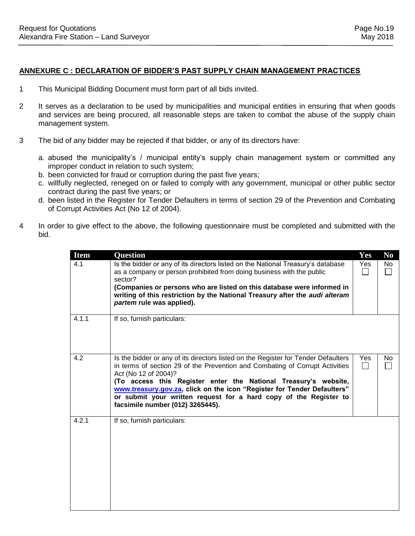- 1 This Municipal Bidding Document must form part of all bids invited.
- 2 It serves as a declaration to be used by municipalities and municipal entities in ensuring that when goods and services are being procured, all reasonable steps are taken to combat the abuse of the supply chain management system.
- 3 The bid of any bidder may be rejected if that bidder, or any of its directors have:
	- a. abused the municipality's / municipal entity's supply chain management system or committed any improper conduct in relation to such system;
	- b. been convicted for fraud or corruption during the past five years;
	- c. willfully neglected, reneged on or failed to comply with any government, municipal or other public sector contract during the past five years; or
	- d. been listed in the Register for Tender Defaulters in terms of section 29 of the Prevention and Combating of Corrupt Activities Act (No 12 of 2004).
- 4 In order to give effect to the above, the following questionnaire must be completed and submitted with the bid.

| <b>Item</b> | <b>Question</b>                                                                                                                                                                                                                                                                                                                                                                                                                                   | <b>Yes</b> | N <sub>0</sub>        |
|-------------|---------------------------------------------------------------------------------------------------------------------------------------------------------------------------------------------------------------------------------------------------------------------------------------------------------------------------------------------------------------------------------------------------------------------------------------------------|------------|-----------------------|
| 4.1         | Is the bidder or any of its directors listed on the National Treasury's database<br>as a company or person prohibited from doing business with the public<br>sector?<br>(Companies or persons who are listed on this database were informed in<br>writing of this restriction by the National Treasury after the audi alteram<br>partem rule was applied).                                                                                        | <b>Yes</b> | No<br>$\mathbf{I}$    |
| 4.1.1       | If so, furnish particulars:                                                                                                                                                                                                                                                                                                                                                                                                                       |            |                       |
| 4.2         | Is the bidder or any of its directors listed on the Register for Tender Defaulters<br>in terms of section 29 of the Prevention and Combating of Corrupt Activities<br>Act (No 12 of 2004)?<br>(To access this Register enter the National Treasury's website,<br>www.treasury.gov.za, click on the icon "Register for Tender Defaulters"<br>or submit your written request for a hard copy of the Register to<br>facsimile number (012) 3265445). | Yes        | No.<br>$\blacksquare$ |
| 4.2.1       | If so, furnish particulars:                                                                                                                                                                                                                                                                                                                                                                                                                       |            |                       |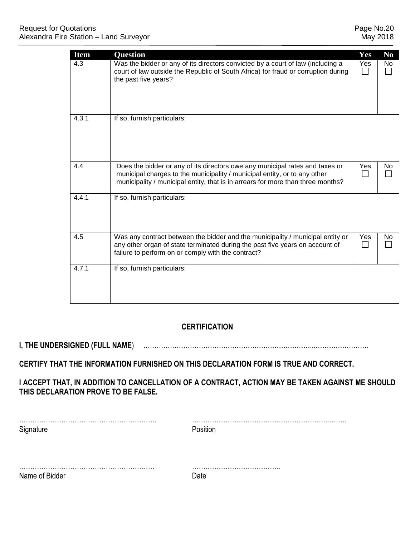| <b>Item</b> | <b>Question</b>                                                                                                                                                                                                                              | Yes | N <sub>0</sub> |
|-------------|----------------------------------------------------------------------------------------------------------------------------------------------------------------------------------------------------------------------------------------------|-----|----------------|
| 4.3         | Was the bidder or any of its directors convicted by a court of law (including a<br>court of law outside the Republic of South Africa) for fraud or corruption during<br>the past five years?                                                 | Yes | No             |
| 4.3.1       | If so, furnish particulars:                                                                                                                                                                                                                  |     |                |
| 4.4         | Does the bidder or any of its directors owe any municipal rates and taxes or<br>municipal charges to the municipality / municipal entity, or to any other<br>municipality / municipal entity, that is in arrears for more than three months? | Yes | No.            |
| 4.4.1       | If so, furnish particulars:                                                                                                                                                                                                                  |     |                |
| 4.5         | Was any contract between the bidder and the municipality / municipal entity or<br>any other organ of state terminated during the past five years on account of<br>failure to perform on or comply with the contract?                         | Yes | No.            |
| 4.7.1       | If so, furnish particulars:                                                                                                                                                                                                                  |     |                |

# **CERTIFICATION**

**I, THE UNDERSIGNED (FULL NAME**) …………………………………………………………………...……………………

# **CERTIFY THAT THE INFORMATION FURNISHED ON THIS DECLARATION FORM IS TRUE AND CORRECT.**

**I ACCEPT THAT, IN ADDITION TO CANCELLATION OF A CONTRACT, ACTION MAY BE TAKEN AGAINST ME SHOULD THIS DECLARATION PROVE TO BE FALSE.** 

| Signature      | Position |
|----------------|----------|
|                |          |
| Name of Bidder | Date     |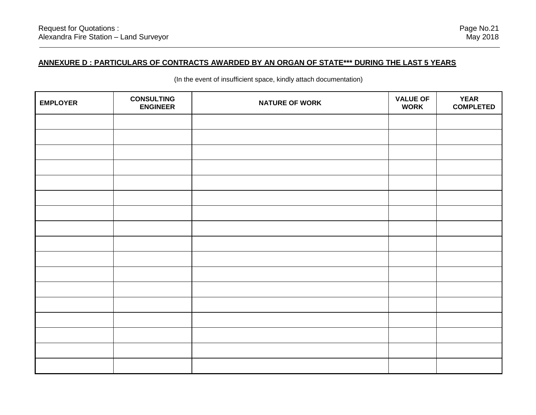# **ANNEXURE D : PARTICULARS OF CONTRACTS AWARDED BY AN ORGAN OF STATE\*\*\* DURING THE LAST 5 YEARS**

| <b>EMPLOYER</b> | <b>CONSULTING</b><br><b>ENGINEER</b> | <b>NATURE OF WORK</b> | <b>VALUE OF</b><br><b>WORK</b> | <b>YEAR</b><br><b>COMPLETED</b> |
|-----------------|--------------------------------------|-----------------------|--------------------------------|---------------------------------|
|                 |                                      |                       |                                |                                 |
|                 |                                      |                       |                                |                                 |
|                 |                                      |                       |                                |                                 |
|                 |                                      |                       |                                |                                 |
|                 |                                      |                       |                                |                                 |
|                 |                                      |                       |                                |                                 |
|                 |                                      |                       |                                |                                 |
|                 |                                      |                       |                                |                                 |
|                 |                                      |                       |                                |                                 |
|                 |                                      |                       |                                |                                 |
|                 |                                      |                       |                                |                                 |
|                 |                                      |                       |                                |                                 |
|                 |                                      |                       |                                |                                 |
|                 |                                      |                       |                                |                                 |
|                 |                                      |                       |                                |                                 |
|                 |                                      |                       |                                |                                 |
|                 |                                      |                       |                                |                                 |

(In the event of insufficient space, kindly attach documentation)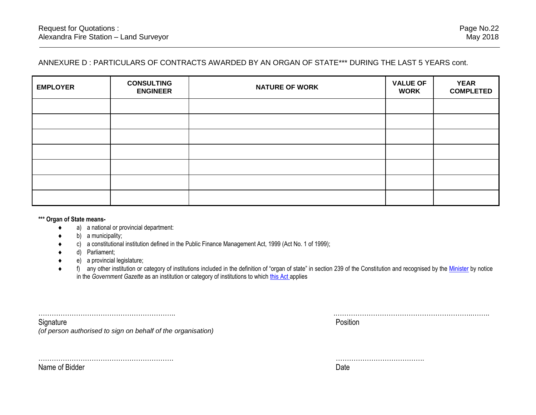# ANNEXURE D : PARTICULARS OF CONTRACTS AWARDED BY AN ORGAN OF STATE\*\*\* DURING THE LAST 5 YEARS cont.

| <b>EMPLOYER</b> | <b>CONSULTING</b><br><b>ENGINEER</b> | <b>NATURE OF WORK</b> | <b>VALUE OF</b><br><b>WORK</b> | <b>YEAR</b><br><b>COMPLETED</b> |
|-----------------|--------------------------------------|-----------------------|--------------------------------|---------------------------------|
|                 |                                      |                       |                                |                                 |
|                 |                                      |                       |                                |                                 |
|                 |                                      |                       |                                |                                 |
|                 |                                      |                       |                                |                                 |
|                 |                                      |                       |                                |                                 |
|                 |                                      |                       |                                |                                 |
|                 |                                      |                       |                                |                                 |

**\*\*\* Organ of State means-**

- a) a national or provincial department:
- b) a municipality;
- c) a constitutional institution defined in the Public Finance Management Act, 1999 (Act No. 1 of 1999);
- d) Parliament;
- e) a provincial legislature;

……………………………………………………. ………………………………….

f) any other institution or category of institutions included in the definition of "organ of state" in section 239 of the Constitution and recognised by the [Minister](javascript:void(0);) by notice in the *Government Gazette* as an institution or category of institutions to which [this Act](javascript:void(0);) applies

| .                                            | . |
|----------------------------------------------|---|
| ٦ı٢                                          |   |
| $\sim$<br>$\sim$<br>$\overline{\phantom{a}}$ |   |

Name of Bidder Date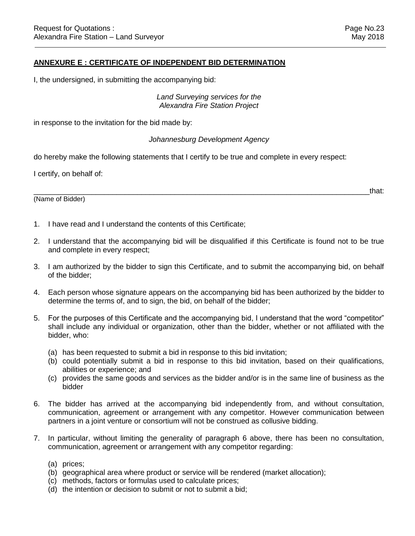## **ANNEXURE E : CERTIFICATE OF INDEPENDENT BID DETERMINATION**

I, the undersigned, in submitting the accompanying bid:

## *Land Surveying services for the Alexandra Fire Station Project*

in response to the invitation for the bid made by:

#### *Johannesburg Development Agency*

do hereby make the following statements that I certify to be true and complete in every respect:

I certify, on behalf of:

(Name of Bidder)

 $\hbox{and}\hskip1cm \hbox{that:}$ 

- 1. I have read and I understand the contents of this Certificate;
- 2. I understand that the accompanying bid will be disqualified if this Certificate is found not to be true and complete in every respect;
- 3. I am authorized by the bidder to sign this Certificate, and to submit the accompanying bid, on behalf of the bidder;
- 4. Each person whose signature appears on the accompanying bid has been authorized by the bidder to determine the terms of, and to sign, the bid, on behalf of the bidder;
- 5. For the purposes of this Certificate and the accompanying bid, I understand that the word "competitor" shall include any individual or organization, other than the bidder, whether or not affiliated with the bidder, who:
	- (a) has been requested to submit a bid in response to this bid invitation;
	- (b) could potentially submit a bid in response to this bid invitation, based on their qualifications, abilities or experience; and
	- (c) provides the same goods and services as the bidder and/or is in the same line of business as the bidder
- 6. The bidder has arrived at the accompanying bid independently from, and without consultation, communication, agreement or arrangement with any competitor. However communication between partners in a joint venture or consortium will not be construed as collusive bidding.
- 7. In particular, without limiting the generality of paragraph 6 above, there has been no consultation, communication, agreement or arrangement with any competitor regarding:
	- (a) prices;
	- (b) geographical area where product or service will be rendered (market allocation);
	- (c) methods, factors or formulas used to calculate prices;
	- $(d)$  the intention or decision to submit or not to submit a bid;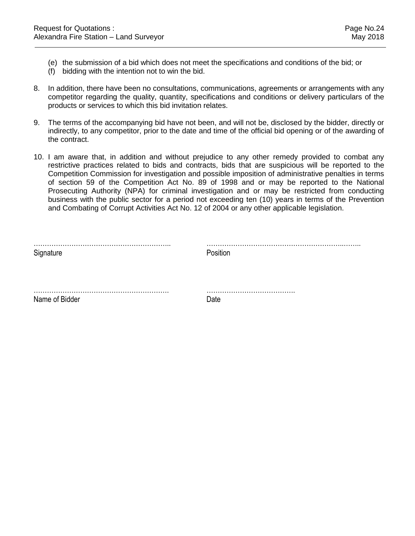- (e) the submission of a bid which does not meet the specifications and conditions of the bid; or
- (f) bidding with the intention not to win the bid.
- 8. In addition, there have been no consultations, communications, agreements or arrangements with any competitor regarding the quality, quantity, specifications and conditions or delivery particulars of the products or services to which this bid invitation relates.
- 9. The terms of the accompanying bid have not been, and will not be, disclosed by the bidder, directly or indirectly, to any competitor, prior to the date and time of the official bid opening or of the awarding of the contract.
- 10. I am aware that, in addition and without prejudice to any other remedy provided to combat any restrictive practices related to bids and contracts, bids that are suspicious will be reported to the Competition Commission for investigation and possible imposition of administrative penalties in terms of section 59 of the Competition Act No. 89 of 1998 and or may be reported to the National Prosecuting Authority (NPA) for criminal investigation and or may be restricted from conducting business with the public sector for a period not exceeding ten (10) years in terms of the Prevention and Combating of Corrupt Activities Act No. 12 of 2004 or any other applicable legislation.

| Signature      | Position |
|----------------|----------|
|                |          |
| Name of Bidder | Date     |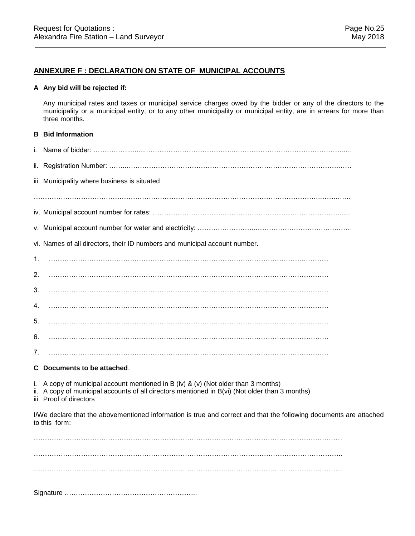## **ANNEXURE F : DECLARATION ON STATE OF MUNICIPAL ACCOUNTS**

#### **A Any bid will be rejected if:**

Any municipal rates and taxes or municipal service charges owed by the bidder or any of the directors to the municipality or a municipal entity, or to any other municipality or municipal entity, are in arrears for more than three months.

#### **B Bid Information**

|    | iii. Municipality where business is situated                                                                                        |
|----|-------------------------------------------------------------------------------------------------------------------------------------|
|    |                                                                                                                                     |
|    |                                                                                                                                     |
|    |                                                                                                                                     |
|    | vi. Names of all directors, their ID numbers and municipal account number.                                                          |
| 1. |                                                                                                                                     |
| 2. |                                                                                                                                     |
| 3. |                                                                                                                                     |
| 4. |                                                                                                                                     |
| 5. |                                                                                                                                     |
| 6. |                                                                                                                                     |
| 7. |                                                                                                                                     |
|    | C Documents to be attached.                                                                                                         |
|    | $\mathbf{r}$ and $\mathbf{r}$ and $\mathbf{r}$ and $\mathbf{r}$ and $\mathbf{r}$ and $\mathbf{r}$ and $\mathbf{r}$ and $\mathbf{r}$ |

- i. A copy of municipal account mentioned in B (iv) & (v) (Not older than 3 months)
- ii. A copy of municipal accounts of all directors mentioned in B(vi) (Not older than 3 months)
- iii. Proof of directors

I/We declare that the abovementioned information is true and correct and that the following documents are attached to this form:

…………………………………………………………………………..…………………………………………… ……………………………………………………………………………………………………………………….. …………………………………………………………………………..……………………………………………

Signature …………………………………………………..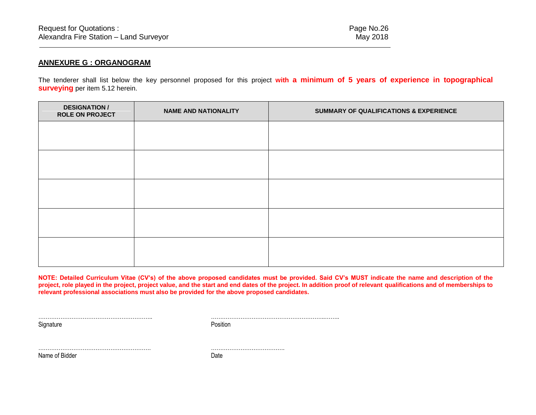## **ANNEXURE G : ORGANOGRAM**

The tenderer shall list below the key personnel proposed for this project **with a minimum of 5 years of experience in topographical surveying** per item 5.12 herein.

| <b>DESIGNATION /</b><br><b>ROLE ON PROJECT</b> | <b>NAME AND NATIONALITY</b> | <b>SUMMARY OF QUALIFICATIONS &amp; EXPERIENCE</b> |  |
|------------------------------------------------|-----------------------------|---------------------------------------------------|--|
|                                                |                             |                                                   |  |
|                                                |                             |                                                   |  |
|                                                |                             |                                                   |  |
|                                                |                             |                                                   |  |
|                                                |                             |                                                   |  |
|                                                |                             |                                                   |  |
|                                                |                             |                                                   |  |
|                                                |                             |                                                   |  |
|                                                |                             |                                                   |  |
|                                                |                             |                                                   |  |

**NOTE: Detailed Curriculum Vitae (CV's) of the above proposed candidates must be provided. Said CV's MUST indicate the name and description of the project, role played in the project, project value, and the start and end dates of the project. In addition proof of relevant qualifications and of memberships to relevant professional associations must also be provided for the above proposed candidates.**

Signature Position

…………………………………………………….. ……………………………………………………..……..

……………………………………………………. ………………………………….

Name of Bidder Date Date Date Date